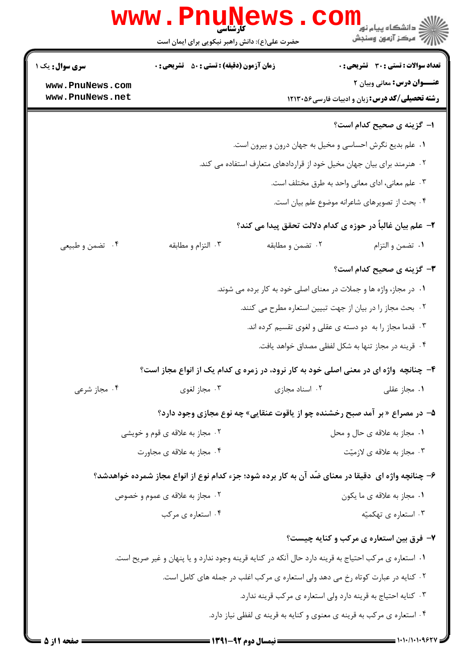|                        | www.PnuNews                                                                                          |                                                                                 | د دانشگاه پيام نور<br>ا∛ مرکز آزمون وسنجش<br>ا                             |
|------------------------|------------------------------------------------------------------------------------------------------|---------------------------------------------------------------------------------|----------------------------------------------------------------------------|
|                        | حضرت علی(ع): دانش راهبر نیکویی برای ایمان است                                                        |                                                                                 |                                                                            |
| <b>سری سوال :</b> یک ۱ | <b>زمان آزمون (دقیقه) : تستی : 50 ٪ تشریحی : 0</b>                                                   |                                                                                 | <b>تعداد سوالات : تستی : 30 ٪ تشریحی : 0</b>                               |
| www.PnuNews.com        |                                                                                                      |                                                                                 | عنــوان درس: معانی وبیان ۲                                                 |
| www.PnuNews.net        |                                                                                                      |                                                                                 | <b>رشته تحصیلی/کد درس:</b> زبان و ادبیات فارسی47۱۳۰۵۶                      |
|                        |                                                                                                      |                                                                                 | <b>۱- گزینه ی صحیح کدام است؟</b>                                           |
|                        |                                                                                                      | ۰۱ علم بدیع نگرش احساسی و مخیل به جهان درون و بیرون است.                        |                                                                            |
|                        |                                                                                                      | ۰۲ هنرمند برای بیان جهان مخیل خود از قراردادهای متعارف استفاده می کند.          |                                                                            |
|                        |                                                                                                      |                                                                                 | ۰۳ علم معانی، ادای معانی واحد به طرق مختلف است.                            |
|                        |                                                                                                      |                                                                                 | ۰۴ بحث از تصویرهای شاعرانه موضوع علم بیان است.                             |
|                        |                                                                                                      |                                                                                 | ۲– علم بیان غالباً در حوزه ی کدام دلالت تحقق پیدا می کند؟                  |
| ۰۴ تضمن و طبیعی        | ۰۳ التزام و مطابقه                                                                                   | ۰۲ تضمن و مطابقه                                                                | ٠١ تضمن والتزام                                                            |
|                        |                                                                                                      |                                                                                 | <b>۳</b> - گزینه ی صحیح کدام است؟                                          |
|                        |                                                                                                      | ۰۱ در مجاز، واژه ها و جملات در معنای اصلی خود به کار برده می شوند.              |                                                                            |
|                        |                                                                                                      | ۰۲ بحث مجاز را در بیان از جهت تبیین استعاره مطرح می کنند.                       |                                                                            |
|                        |                                                                                                      | ۰۳ قدما مجاز را به  دو دسته ی عقلی و لغوی تقسیم کرده اند.                       |                                                                            |
|                        |                                                                                                      |                                                                                 | ۰۴ قرینه در مجاز تنها به شکل لفظی مصداق خواهد یافت.                        |
|                        | ۴- چنانچه واژه ای در معنی اصلی خود به کار نرود، در زمره ی کدام یک از انواع مجاز است؟                 |                                                                                 |                                                                            |
| ۰۴ مجاز شرعی           | ۰۳ مجاز لغوی                                                                                         | ۰۲ اسناد مجازی                                                                  | ۰۱ مجاز عقلی                                                               |
|                        |                                                                                                      |                                                                                 | ۵– در مصراع «بر آمد صبح رخشنده چو از یاقوت عنقایی» چه نوع مجازی وجود دارد؟ |
|                        | ۰۲ مجاز به علاقه ی قوم و خویشی                                                                       |                                                                                 | ٠١ مجاز به علاقه ي حال و محل                                               |
|                        | ۰۴ مجاز به علاقه ی مجاورت                                                                            |                                                                                 | ۰۳ مجاز به علاقه ی لازمیّت                                                 |
|                        | ۶- چنانچه واژه ای  دقیقا در معنای ضّد آن به کار برده شود؛ جزء کدام نوع از انواع مجاز شمرده خواهدشد؟  |                                                                                 |                                                                            |
|                        | ۰۲ مجاز به علاقه ی عموم و خصوص                                                                       |                                                                                 | ٠١. مجاز به علاقه ي ما يكون                                                |
|                        | ۰۴ استعاره ی مرکب                                                                                    |                                                                                 | ۰۳ استعاره ی تهکمیّه                                                       |
|                        |                                                                                                      |                                                                                 | ۷- فرق بین استعاره ی مرکب و کنایه چیست؟                                    |
|                        | ۰۱ استعاره ی مرکب احتیاج به قرینه دارد حال آنکه در کنایه قرینه وجود ندارد و یا پنهان و غیر صریح است. |                                                                                 |                                                                            |
|                        |                                                                                                      | ۰۲ کنایه در عبارت کوتاه رخ می دهد ولی استعاره ی مرکب اغلب در جمله های کامل است. |                                                                            |
|                        |                                                                                                      | ۰۳ کنایه احتیاج به قرینه دارد ولی استعاره ی مرکب قرینه ندارد.                   |                                                                            |
|                        |                                                                                                      | ۰۴ استعاره ي مركب به قرينه ي معنوي و كنايه به قرينه ي لفظي نياز دارد.           |                                                                            |
|                        |                                                                                                      |                                                                                 |                                                                            |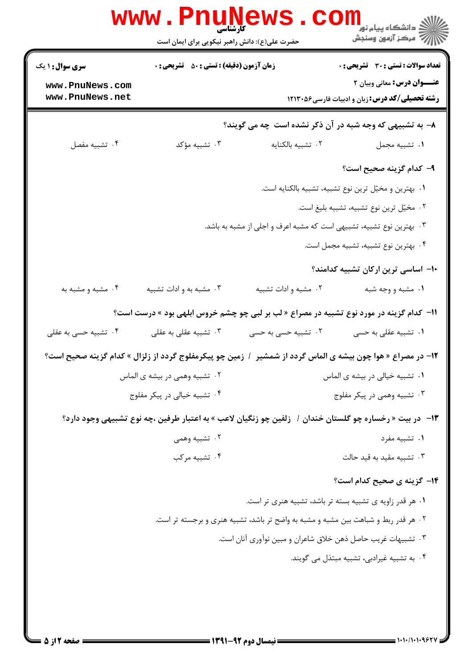|                                    | <b>WWW</b><br>کارشناسی<br>حضرت علی(ع): دانش راهبر نیکویی برای ایمان است                 |                                                                                     | ري دانشڪاه پيام نور<br>ا∛ مرڪز آزمون وسنڊش                                                                 |
|------------------------------------|-----------------------------------------------------------------------------------------|-------------------------------------------------------------------------------------|------------------------------------------------------------------------------------------------------------|
| <b>سری سوال : ۱ یک</b>             | <b>زمان آزمون (دقیقه) : تستی : 50 ٪ تشریحی : 0</b>                                      |                                                                                     | تعداد سوالات : تستي : 30 - تشريحي : 0                                                                      |
| www.PnuNews.com<br>www.PnuNews.net |                                                                                         |                                                                                     | عنــوان درس: معانی وبیان ۲<br><b>رشته تحصیلی/کد درس:</b> زبان و ادبیات فارسی4۵۶ ۱۲۱۳۰                      |
|                                    |                                                                                         |                                                                                     | ۸- به تشبیهی که وجه شبه در آن ذکر نشده است چه می گویند؟                                                    |
| ۰۴ تشبيه مفصل                      | ۰۳ تشبیه مؤکد                                                                           | ٠٢ تشبيه بالكنايه                                                                   | ٠١ تشبيه مجمل                                                                                              |
|                                    |                                                                                         |                                                                                     | ۹– کدام گزینه صحیح است؟                                                                                    |
|                                    |                                                                                         |                                                                                     | ۰۱ بهترین و مخیّل ترین نوع تشبیه، تشبیه بالکنایه است.                                                      |
|                                    |                                                                                         |                                                                                     | ۰۲ مخیّل ترین نوع تشبیه، تشبیه بلیغ است.                                                                   |
|                                    |                                                                                         | ۰۳ بهترین نوع تشبیه، تشبیهی است که مشبه اعرف و اجلی از مشبه به باشد.                |                                                                                                            |
|                                    |                                                                                         |                                                                                     | ۴. بهترین نوع تشبیه، تشبیه مجمل است.                                                                       |
|                                    |                                                                                         |                                                                                     | ۱۰- اساسی ترین ارکان تشبیه کدامند؟                                                                         |
| ۰۴ مشبه و مشبه به                  | ۰۳ مشبه به و ادات تشبیه                                                                 | ۰۲ مشبه و ادات تشبیه                                                                | ۰۱ مشبه و وجه شبه                                                                                          |
|                                    | 11- کدام گزینه در مورد نوع تشبیه در مصراع « لب بر لبی چو چشم خروس ابلهی بود » درست است؟ |                                                                                     |                                                                                                            |
| ۰۴ تشبیه حسی به عقلی               | ۰۳ تشبیه عقلی به عقلی                                                                   | ۰۲ تشبیه حسی به حسی                                                                 | ۰۱ تشبیه عقلی به حسی                                                                                       |
|                                    |                                                                                         |                                                                                     | 1۲- در مصراع « هوا چون بیشه ی الماس گردد از شمشیر ۱ زمین چو پیکرمفلوج گردد از زلزال » کدام گزینه صحیح است؟ |
|                                    | ۰۲ تشبیه وهمی در بیشه ی الماس                                                           |                                                                                     | ۰۱ تشبیه خیالی در بیشه ی الماس                                                                             |
|                                    | ۰۴ تشبیه خیالی در پیکر مفلوج                                                            |                                                                                     | ۰۳ تشبیه وهمی در پیکر مفلوج                                                                                |
|                                    |                                                                                         |                                                                                     | ۱۳– در بیت « رخساره چو گلستان خندان /   زلفین چو زنگیان لاعب » به اعتبار طرفین ،چه نوع تشبیهی وجود دارد؟   |
|                                    | ۰۲ تشبیه وهمی                                                                           |                                                                                     | ۰۱ تشبیه مفرد                                                                                              |
|                                    | ۰۴ تشبیه مرکب                                                                           |                                                                                     | ۰۳ تشبیه مقید به قید حالت                                                                                  |
|                                    |                                                                                         |                                                                                     | <b>۱۴</b> - گزینه ی صحیح کدام است؟                                                                         |
|                                    |                                                                                         |                                                                                     | ۰۱ هر قدر زاویه ی تشبیه بسته تر باشد، تشبیه هنری تر است.                                                   |
|                                    |                                                                                         | ۲ . هر قدر ربط و شباهت بین مشبه و مشبه به واضح تر باشد، تشبیه هنری و برجسته تر است. |                                                                                                            |
|                                    |                                                                                         | ۰۳ تشبیهات غریب حاصل ذهن خلاق شاعران و مبین نوآوری آنان است.                        |                                                                                                            |
|                                    |                                                                                         |                                                                                     | ۰۴ به تشبیه غیرادبی، تشبیه مبتذل می گویند.                                                                 |
|                                    |                                                                                         |                                                                                     |                                                                                                            |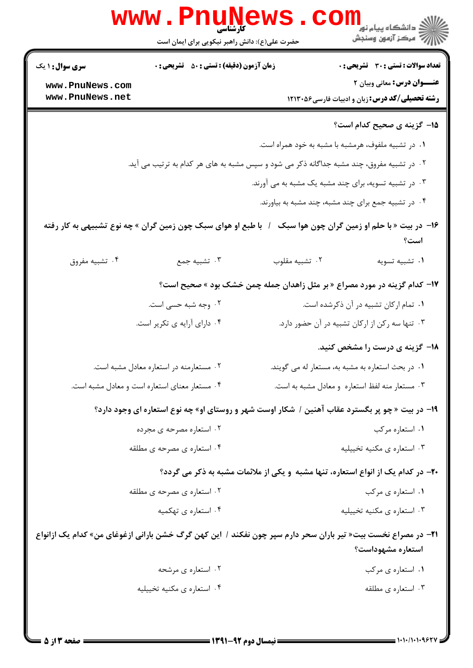|                                    | <b>WWW.PNUNE</b><br>حضرت علی(ع): دانش راهبر نیکویی برای ایمان است                                            |                                                                                   | ارد دانشگاه پيام نور <mark>−ا</mark><br>ار∕ = مرکز آزمون وسنجش                      |
|------------------------------------|--------------------------------------------------------------------------------------------------------------|-----------------------------------------------------------------------------------|-------------------------------------------------------------------------------------|
| سری سوال: ۱ یک                     | <b>زمان آزمون (دقیقه) : تستی : 50 ٪ تشریحی : 0</b>                                                           |                                                                                   | <b>تعداد سوالات : تستي : 30 ٪ تشريحي : 0</b>                                        |
| www.PnuNews.com<br>www.PnuNews.net |                                                                                                              |                                                                                   | عنــوان درس: معانی وبیان ۲<br><b>رشته تحصیلی/کد درس:</b> زبان و ادبیات فارسی47۱۳۰۵۶ |
|                                    |                                                                                                              |                                                                                   |                                                                                     |
|                                    |                                                                                                              |                                                                                   | 1۵– گزینه ی صحیح کدام است؟                                                          |
|                                    | ۰۲ در تشبیه مفروق، چند مشبه جداگانه ذکر می شود و سپس مشبه به های هر کدام به ترتیب می آید.                    | ۰۱ در تشبیه ملفوف، هرمشبه با مشبه به خود همراه است.                               |                                                                                     |
|                                    |                                                                                                              | ۰۳ در تشبیه تسویه، برای چند مشبه یک مشبه به می آورند.                             |                                                                                     |
|                                    |                                                                                                              | ۰۴ در تشبیه جمع برای چند مشبه، چند مشبه به بیاورند.                               |                                                                                     |
|                                    |                                                                                                              |                                                                                   |                                                                                     |
|                                    | با طبع او هوای سبک چون زمین گران » چه نوع تشبیهی به کار رفته                                                 |                                                                                   | ۱۶- در بیت « با حلم او زمین گران چون هوا سبک<br>است؟                                |
| ۰۴ تشبیه مفروق                     | ۰۳ تشبیه جمع                                                                                                 | ۰۲ تشبيه مقلوب                                                                    | ٠١ تشبيه تسويه                                                                      |
|                                    |                                                                                                              | ۱۷- کدام گزینه در مورد مصراع «بر مثل زاهدان جمله چمن خشک بود » صحیح است؟          |                                                                                     |
|                                    | ۰۲ وجه شبه حسی است.                                                                                          |                                                                                   | ۰۱ تمام ارکان تشبیه در آن ذکرشده است.                                               |
|                                    | ۰۴ دارای آرایه ی تکریر است.                                                                                  | ۰۳ تنها سه رکن از ارکان تشبیه در آن حضور دارد.                                    |                                                                                     |
|                                    |                                                                                                              |                                                                                   | ۱۸– گزینه ی درست را مشخص کنید.                                                      |
|                                    | ٢. مستعارمنه در استعاره معادل مشبه است.                                                                      | ٠١ در بحث استعاره به مشبه به، مستعار له مي گويند.                                 |                                                                                     |
|                                    | ۰۴ مستعار معنای استعاره است و معادل مشبه است.                                                                | ۰۳ مستعار منه لفظ استعاره و معادل مشبه به است.                                    |                                                                                     |
|                                    | ۱۹- در بیت «چو پر بگسترد عقاب آهنین / شکار اوست شهر و روستای او» چه نوع استعاره ای وجود دارد؟                |                                                                                   |                                                                                     |
|                                    | ۰۲ استعاره مصرحه ی مجرده                                                                                     |                                                                                   | ۰۱ استعاره مرکب                                                                     |
|                                    | ۰۴ استعاره ی مصرحه ی مطلقه                                                                                   |                                                                                   | ۰۳ استعاره ی مکنیه تخییلیه                                                          |
|                                    |                                                                                                              | ۲۰- در کدام یک از انواع استعاره، تنها مشبه ًو یکی از ملائمات مشبه به ذکر می گردد؟ |                                                                                     |
|                                    | ۰۲ استعاره ی مصرحه ی مطلقه                                                                                   |                                                                                   | ۰۱ استعاره ی مرکب                                                                   |
|                                    | ۰۴ استعاره ی تهکمیه                                                                                          |                                                                                   | ۰۳ استعاره ی مکنیه تخییلیه                                                          |
|                                    | ۲۱− در مصراع نخست بیت« تیر باران سحر دارم سپر چون نفکند / این کهن گرگ خشن بارانی ازغوغای من» کدام یک ازانواع |                                                                                   |                                                                                     |
|                                    |                                                                                                              |                                                                                   | استعاره مشهوداست؟                                                                   |
|                                    | ۰۲ استعاره ی مرشحه                                                                                           |                                                                                   | ۰۱ استعاره ی مرکب                                                                   |
|                                    | ۰۴ استعاره ی مکنیه تخییلیه                                                                                   |                                                                                   | ۰۳ استعاره ی مطلقه                                                                  |
|                                    |                                                                                                              |                                                                                   |                                                                                     |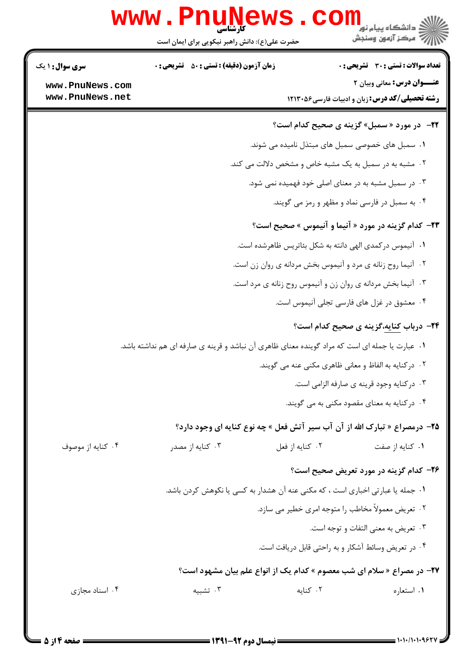|                        | WWW.PNUN<br>حضرت علی(ع): دانش راهبر نیکویی برای ایمان است                                      | ڪ دانشڪاه پيا <sub>م</sub> نور<br>ر <i>7</i> مرڪز آزمون وسنڊش              |
|------------------------|------------------------------------------------------------------------------------------------|----------------------------------------------------------------------------|
| <b>سری سوال : ۱ یک</b> | <b>زمان آزمون (دقیقه) : تستی : 50 ٪ تشریحی : 0</b>                                             | تعداد سوالات : تستي : 30 ٪ تشريحي : 0                                      |
| www.PnuNews.com        |                                                                                                | <b>عنــوان درس:</b> معانی وبیان ۲                                          |
| www.PnuNews.net        |                                                                                                | <b>رشته تحصیلی/کد درس:</b> زبان و ادبیات فارسی26013 ۱۲۱۳۰                  |
|                        |                                                                                                | <b>3۲-</b> در مورد « سمبل» گزینه ی صحیح کدام است؟                          |
|                        |                                                                                                | ۰۱ سمبل های خصوصی سمبل های مبتذل نامیده می شوند.                           |
|                        |                                                                                                | ۰۲ مشبه به در سمبل به یک مشبه خاص و مشخص دلالت می کند.                     |
|                        |                                                                                                | ۰۳ در سمبل مشبه به در معنای اصلی خود فهمیده نمی شود.                       |
|                        |                                                                                                | ۰۴ به سمبل در فارسی نماد و مظهر و رمز می گویند.                            |
|                        |                                                                                                | <b>۲۳</b> - کدام گزینه در مورد « آنیما و آنیموس » صحیح است؟                |
|                        |                                                                                                | ٠١ آنيموس در كمدى الهى دانته به شكل بئاتريس ظاهرشده است.                   |
|                        |                                                                                                | ۰۲ آنیما روح زنانه ی مرد و آنیموس بخش مردانه ی روان زن است.                |
|                        |                                                                                                | ۰۳ آنیما بخش مردانه ی روان زن و آنیموس روح زنانه ی مرد است.                |
|                        |                                                                                                | ۰۴ معشوق در غزل های فارسی تجلی آنیموس است.                                 |
|                        |                                                                                                | <b>۲۴- درباب کنایه،گزینه ی صحیح کدام است؟</b>                              |
|                        | ۰۱ عبارت یا جمله ای است که مراد گوینده معنای ظاهری آن نباشد و قرینه ی صارفه ای هم نداشته باشد. |                                                                            |
|                        |                                                                                                | ۰۲ در کنایه به الفاظ و معانی ظاهری مکنی عنه می گویند.                      |
|                        |                                                                                                | ۰۳ درکنایه وجود قرینه ی صارفه الزامی است.                                  |
|                        |                                                                                                | ۰۴ درکنایه به معنای مقصود مکنی به می گویند.                                |
|                        |                                                                                                | 7۵- درمصراع « تبارک الله از آن آب سیر آتش فعل » چه نوع کنایه ای وجود دارد؟ |
| ۰۴ کنایه از موصوف      | ٠٢ كنايه از فعل<br>۰۳ کنایه از مصدر                                                            | ۰۱ کنایه از صفت                                                            |
|                        |                                                                                                | ۲۶- کدام گزینه در مورد تعریض صحیح است؟                                     |
|                        | ۰۱ جمله یا عبارتی اخباری است ، که مکنی عنه آن هشدار به کسی یا نکوهش کردن باشد.                 |                                                                            |
|                        |                                                                                                | ۰۲ تعریض معمولاً مخاطب را متوجه امری خطیر می سازد.                         |
|                        |                                                                                                | ۰۳ تعریض به معنی التفات و توجه است.                                        |
|                        |                                                                                                | ۰۴ در تعریض وسائط آشکار و به راحتی قابل دریافت است.                        |
|                        |                                                                                                | ۲۷- در مصراع « سلام ای شب معصوم » کدام یک از انواع علم بیان مشهود است؟     |
| ۰۴ اسناد مجازی         | ۰۳ تشبیه                                                                                       | ۰۲ کنایه<br>٠١. استعاره                                                    |
|                        |                                                                                                |                                                                            |

1.1.1.1.952